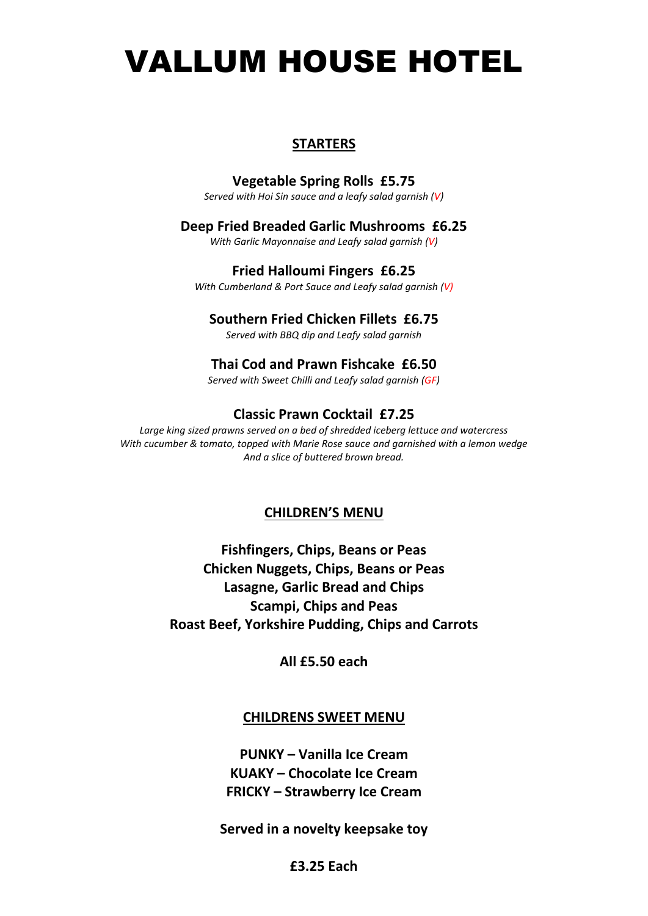# VALLUM HOUSE HOTEL

# **STARTERS**

# **Vegetable Spring Rolls £5.75**

*Served with Hoi Sin sauce and a leafy salad garnish (V)*

# **Deep Fried Breaded Garlic Mushrooms £6.25**

*With Garlic Mayonnaise and Leafy salad garnish (V)*

# **Fried Halloumi Fingers £6.25**

*With Cumberland & Port Sauce and Leafy salad garnish (V)*

# **Southern Fried Chicken Fillets £6.75**

*Served with BBQ dip and Leafy salad garnish*

## **Thai Cod and Prawn Fishcake £6.50**

*Served with Sweet Chilli and Leafy salad garnish (GF)*

# **Classic Prawn Cocktail £7.25**

*Large king sized prawns served on a bed of shredded iceberg lettuce and watercress With cucumber & tomato, topped with Marie Rose sauce and garnished with a lemon wedge And a slice of buttered brown bread.*

# **CHILDREN'S MENU**

**Fishfingers, Chips, Beans or Peas Chicken Nuggets, Chips, Beans or Peas Lasagne, Garlic Bread and Chips Scampi, Chips and Peas Roast Beef, Yorkshire Pudding, Chips and Carrots**

**All £5.50 each**

# **CHILDRENS SWEET MENU**

**PUNKY – Vanilla Ice Cream KUAKY – Chocolate Ice Cream FRICKY – Strawberry Ice Cream**

**Served in a novelty keepsake toy**

# **£3.25 Each**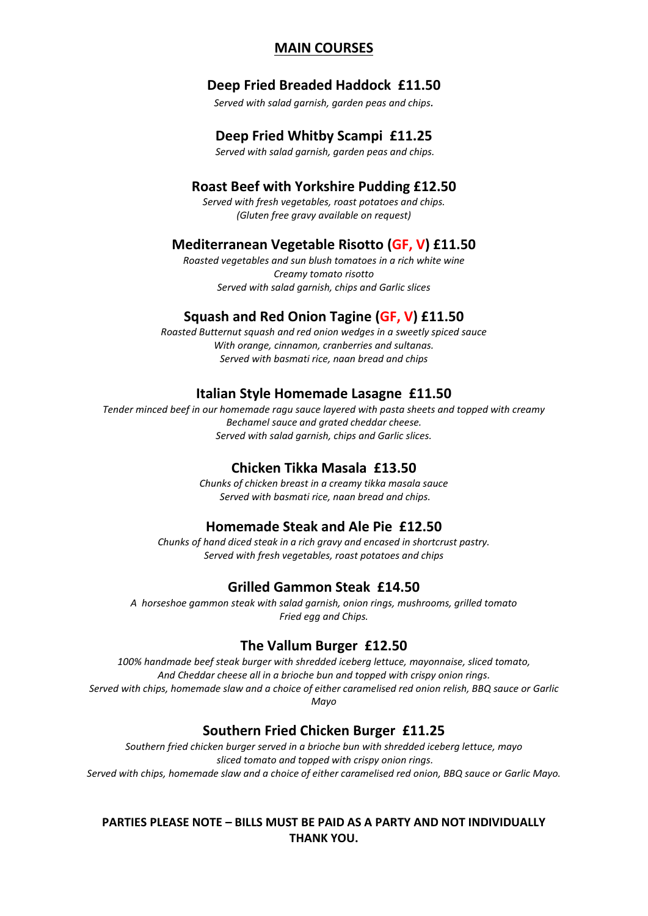# **MAIN COURSES**

# **Deep Fried Breaded Haddock £11.50**

*Served with salad garnish, garden peas and chips.*

#### **Deep Fried Whitby Scampi £11.25**

*Served with salad garnish, garden peas and chips.*

#### **Roast Beef with Yorkshire Pudding £12.50**

*Served with fresh vegetables, roast potatoes and chips. (Gluten free gravy available on request)*

#### **Mediterranean Vegetable Risotto (GF, V) £11.50**

*Roasted vegetables and sun blush tomatoes in a rich white wine Creamy tomato risotto Served with salad garnish, chips and Garlic slices*

#### **Squash and Red Onion Tagine (GF, V) £11.50**

*Roasted Butternut squash and red onion wedges in a sweetly spiced sauce With orange, cinnamon, cranberries and sultanas. Served with basmati rice, naan bread and chips* 

#### **Italian Style Homemade Lasagne £11.50**

*Tender minced beef in our homemade ragu sauce layered with pasta sheets and topped with creamy Bechamel sauce and grated cheddar cheese. Served with salad garnish, chips and Garlic slices.*

#### **Chicken Tikka Masala £13.50**

*Chunks of chicken breast in a creamy tikka masala sauce Served with basmati rice, naan bread and chips.*

#### **Homemade Steak and Ale Pie £12.50**

*Chunks of hand diced steak in a rich gravy and encased in shortcrust pastry. Served with fresh vegetables, roast potatoes and chips*

#### **Grilled Gammon Steak £14.50**

*A horseshoe gammon steak with salad garnish, onion rings, mushrooms, grilled tomato Fried egg and Chips.* 

#### **The Vallum Burger £12.50**

*100% handmade beef steak burger with shredded iceberg lettuce, mayonnaise, sliced tomato, And Cheddar cheese all in a brioche bun and topped with crispy onion rings. Served with chips, homemade slaw and a choice of either caramelised red onion relish, BBQ sauce or Garlic Mayo*

#### **Southern Fried Chicken Burger £11.25**

*Southern fried chicken burger served in a brioche bun with shredded iceberg lettuce, mayo sliced tomato and topped with crispy onion rings. Served with chips, homemade slaw and a choice of either caramelised red onion, BBQ sauce or Garlic Mayo.*

# **PARTIES PLEASE NOTE – BILLS MUST BE PAID AS A PARTY AND NOT INDIVIDUALLY THANK YOU.**